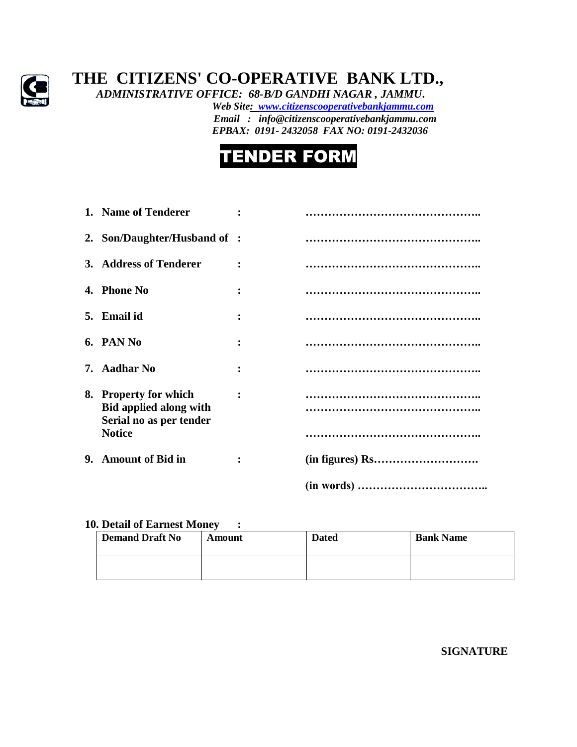

## **THE CITIZENS' CO-OPERATIVE BANK LTD.,**

 *ADMINISTRATIVE OFFICE: 68-B/D GANDHI NAGAR , JAMMU***.**  *Web Site: [www.citizenscooperativebankjammu.com](http://www.citizenscooperativebankjammu.com/) Email : info@citizenscooperativebankjammu.com*

 *EPBAX: 0191- 2432058 FAX NO: 0191-2432036*



| 1. Name of Tenderer                                                                                |  |
|----------------------------------------------------------------------------------------------------|--|
| 2. Son/Daughter/Husband of :                                                                       |  |
| 3. Address of Tenderer                                                                             |  |
| 4. Phone No                                                                                        |  |
| 5. Email id                                                                                        |  |
| 6. PAN No                                                                                          |  |
| 7. Aadhar No                                                                                       |  |
| 8. Property for which<br><b>Bid applied along with</b><br>Serial no as per tender<br><b>Notice</b> |  |
| 9. Amount of Bid in                                                                                |  |
|                                                                                                    |  |

## **10. Detail of Earnest Money :**

| <b>Demand Draft No</b> | Amount | <b>Dated</b> | <b>Bank Name</b> |
|------------------------|--------|--------------|------------------|
|                        |        |              |                  |

**SIGNATURE**